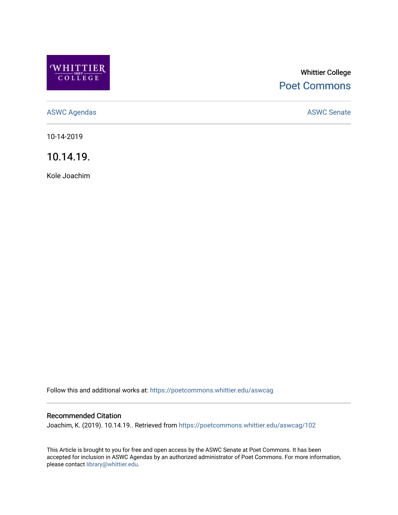

# Whittier College [Poet Commons](https://poetcommons.whittier.edu/)

[ASWC Agendas](https://poetcommons.whittier.edu/aswcag) **ASWC Senate** 

10-14-2019

10.14.19.

Kole Joachim

Follow this and additional works at: [https://poetcommons.whittier.edu/aswcag](https://poetcommons.whittier.edu/aswcag?utm_source=poetcommons.whittier.edu%2Faswcag%2F102&utm_medium=PDF&utm_campaign=PDFCoverPages) 

# Recommended Citation

Joachim, K. (2019). 10.14.19.. Retrieved from [https://poetcommons.whittier.edu/aswcag/102](https://poetcommons.whittier.edu/aswcag/102?utm_source=poetcommons.whittier.edu%2Faswcag%2F102&utm_medium=PDF&utm_campaign=PDFCoverPages) 

This Article is brought to you for free and open access by the ASWC Senate at Poet Commons. It has been accepted for inclusion in ASWC Agendas by an authorized administrator of Poet Commons. For more information, please contact [library@whittier.edu](mailto:library@whittier.edu).